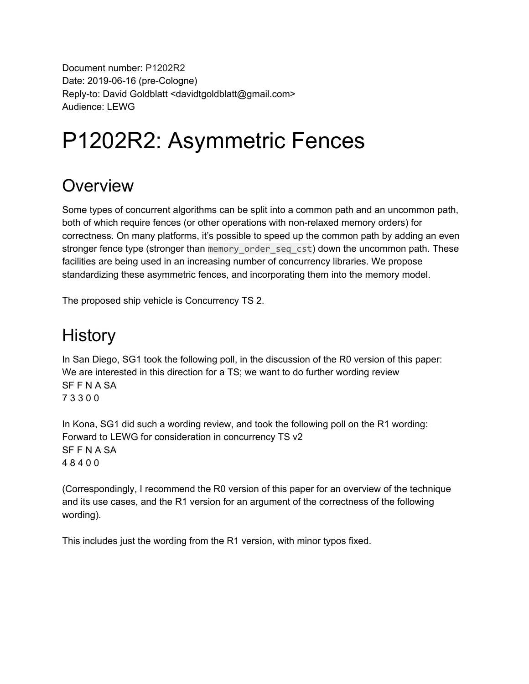Document number: P1202R2 Date: 2019-06-16 (pre-Cologne) Reply-to: David Goldblatt <davidtgoldblatt@gmail.com> Audience: LEWG

# P1202R2: Asymmetric Fences

#### **Overview**

Some types of concurrent algorithms can be split into a common path and an uncommon path, both of which require fences (or other operations with non-relaxed memory orders) for correctness. On many platforms, it's possible to speed up the common path by adding an even stronger fence type (stronger than memory\_order\_seq\_cst) down the uncommon path. These facilities are being used in an increasing number of concurrency libraries. We propose standardizing these asymmetric fences, and incorporating them into the memory model.

The proposed ship vehicle is Concurrency TS 2.

#### **History**

In San Diego, SG1 took the following poll, in the discussion of the R0 version of this paper: We are interested in this direction for a TS; we want to do further wording review SF F N A SA 7 3 3 0 0

In Kona, SG1 did such a wording review, and took the following poll on the R1 wording: Forward to LEWG for consideration in concurrency TS v2 SF F N A SA 4 8 4 0 0

(Correspondingly, I recommend the R0 version of this paper for an overview of the technique and its use cases, and the R1 version for an argument of the correctness of the following wording).

This includes just the wording from the R1 version, with minor typos fixed.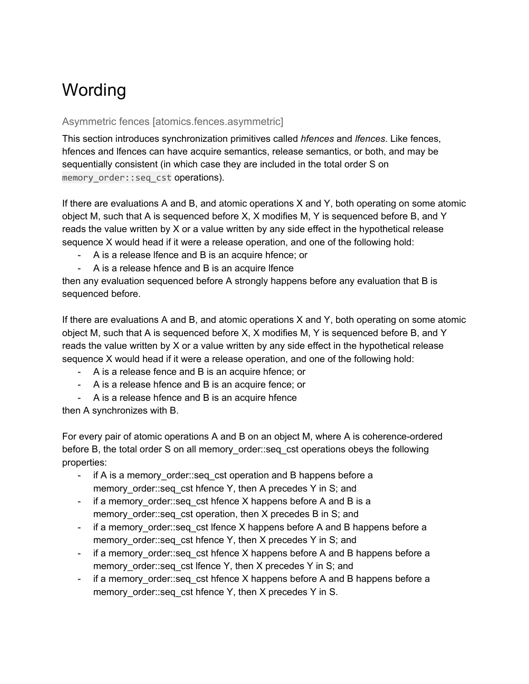# **Wording**

#### Asymmetric fences [atomics.fences.asymmetric]

This section introduces synchronization primitives called *hfences* and *lfences*. Like fences, hfences and lfences can have acquire semantics, release semantics, or both, and may be sequentially consistent (in which case they are included in the total order S on memory order::seq cst operations).

If there are evaluations A and B, and atomic operations X and Y, both operating on some atomic object M, such that A is sequenced before X, X modifies M, Y is sequenced before B, and Y reads the value written by X or a value written by any side effect in the hypothetical release sequence X would head if it were a release operation, and one of the following hold:

- A is a release lfence and B is an acquire hfence; or
- A is a release hfence and B is an acquire lfence

then any evaluation sequenced before A strongly happens before any evaluation that B is sequenced before.

If there are evaluations A and B, and atomic operations X and Y, both operating on some atomic object M, such that A is sequenced before X, X modifies M, Y is sequenced before B, and Y reads the value written by X or a value written by any side effect in the hypothetical release sequence X would head if it were a release operation, and one of the following hold:

- A is a release fence and B is an acquire hfence; or
- A is a release hfence and B is an acquire fence; or
- A is a release hfence and B is an acquire hfence

then A synchronizes with B.

For every pair of atomic operations A and B on an object M, where A is coherence-ordered before B, the total order S on all memory\_order::seq\_cst operations obeys the following properties:

- if A is a memory order::seq cst operation and B happens before a memory order::seq cst hfence Y, then A precedes Y in S; and
- if a memory order::seq cst hfence X happens before A and B is a memory order::seq cst operation, then X precedes B in S; and
- if a memory\_order::seq\_cst lfence X happens before A and B happens before a memory order::seq cst hfence Y, then X precedes Y in S; and
- if a memory order::seq cst hfence X happens before A and B happens before a memory order::seq cst lfence Y, then X precedes Y in S; and
- if a memory order::seq cst hfence X happens before A and B happens before a memory\_order::seq\_cst hfence Y, then X precedes Y in S.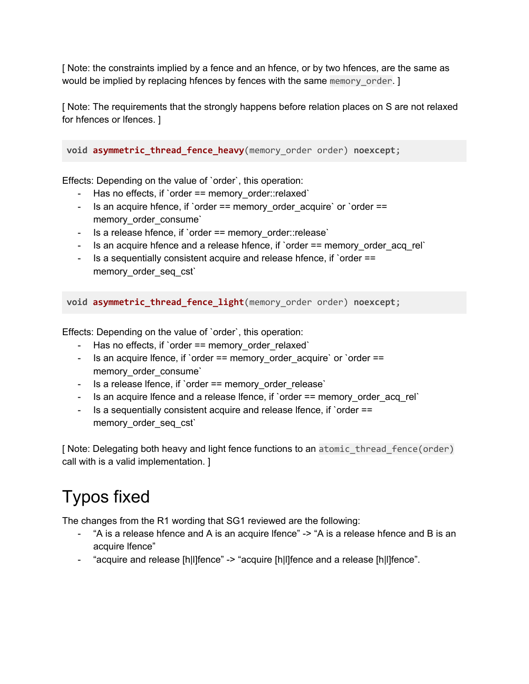[ Note: the constraints implied by a fence and an hfence, or by two hfences, are the same as would be implied by replacing hfences by fences with the same memory order. ]

[ Note: The requirements that the strongly happens before relation places on S are not relaxed for hfences or lfences. ]

**void asymmetric\_thread\_fence\_heavy**(memory\_order order) **noexcept**;

Effects: Depending on the value of `order`, this operation:

- Has no effects, if `order == memory order::relaxed`
- Is an acquire hfence, if `order  $==$  memory order acquire` or `order  $==$ memory order consume`
- Is a release hfence, if `order == memory\_order::release`
- Is an acquire hfence and a release hfence, if `order == memory order acq\_rel`
- Is a sequentially consistent acquire and release hfence, if `order == memory order seq cst`

**void asymmetric\_thread\_fence\_light**(memory\_order order) **noexcept**;

Effects: Depending on the value of `order`, this operation:

- Has no effects, if `order  $==$  memory order relaxed`
- Is an acquire lfence, if `order == memory\_order\_acquire` or `order == memory order consume`
- Is a release Ifence, if `order == memory\_order\_release`
- Is an acquire lfence and a release lfence, if `order == memory order acq\_rel`
- Is a sequentially consistent acquire and release lfence, if `order == memory\_order\_seq\_cst`

[ Note: Delegating both heavy and light fence functions to an atomic thread fence(order) call with is a valid implementation. ]

### Typos fixed

The changes from the R1 wording that SG1 reviewed are the following:

- "A is a release hfence and A is an acquire lfence" -> "A is a release hfence and B is an acquire lfence"
- "acquire and release [h|l]fence" -> "acquire [h|l]fence and a release [h|l]fence".